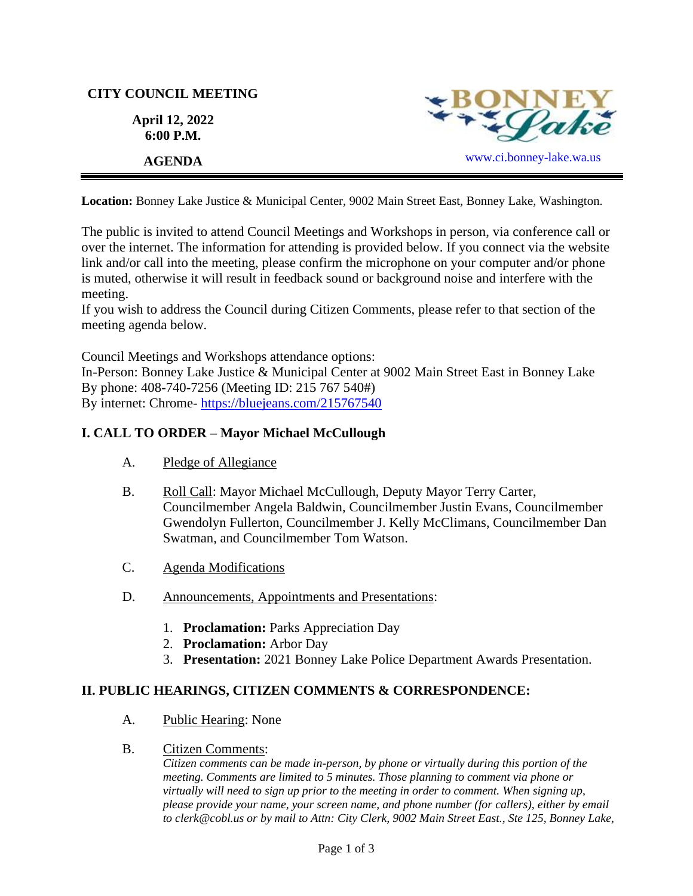# **CITY COUNCIL MEETING**

**April 12, 2022 6:00 P.M.**



**Location:** Bonney Lake Justice & Municipal Center, 9002 Main Street East, Bonney Lake, Washington.

The public is invited to attend Council Meetings and Workshops in person, via conference call or over the internet. The information for attending is provided below. If you connect via the website link and/or call into the meeting, please confirm the microphone on your computer and/or phone is muted, otherwise it will result in feedback sound or background noise and interfere with the meeting.

If you wish to address the Council during Citizen Comments, please refer to that section of the meeting agenda below.

Council Meetings and Workshops attendance options:

In-Person: Bonney Lake Justice & Municipal Center at 9002 Main Street East in Bonney Lake By phone: 408-740-7256 (Meeting ID: 215 767 540#) By internet: Chrome- [https://bluejeans.com/215767540](https://bluejeans.com/215767540?src=calendarLink&flow=joinmeeting)

# **I. CALL TO ORDER – Mayor Michael McCullough**

- A. Pledge of Allegiance
- B. Roll Call: Mayor Michael McCullough, Deputy Mayor Terry Carter, Councilmember Angela Baldwin, Councilmember Justin Evans, Councilmember Gwendolyn Fullerton, Councilmember J. Kelly McClimans, Councilmember Dan Swatman, and Councilmember Tom Watson.
- C. Agenda Modifications
- D. Announcements, Appointments and Presentations:
	- 1. **Proclamation:** Parks Appreciation Day
	- 2. **Proclamation:** Arbor Day
	- 3. **Presentation:** 2021 Bonney Lake Police Department Awards Presentation.

# **II. PUBLIC HEARINGS, CITIZEN COMMENTS & CORRESPONDENCE:**

- A. Public Hearing: None
- B. Citizen Comments:

*Citizen comments can be made in-person, by phone or virtually during this portion of the meeting. Comments are limited to 5 minutes. Those planning to comment via phone or virtually will need to sign up prior to the meeting in order to comment. When signing up, please provide your name, your screen name, and phone number (for callers), either by email to clerk@cobl.us or by mail to Attn: City Clerk, 9002 Main Street East., Ste 125, Bonney Lake,*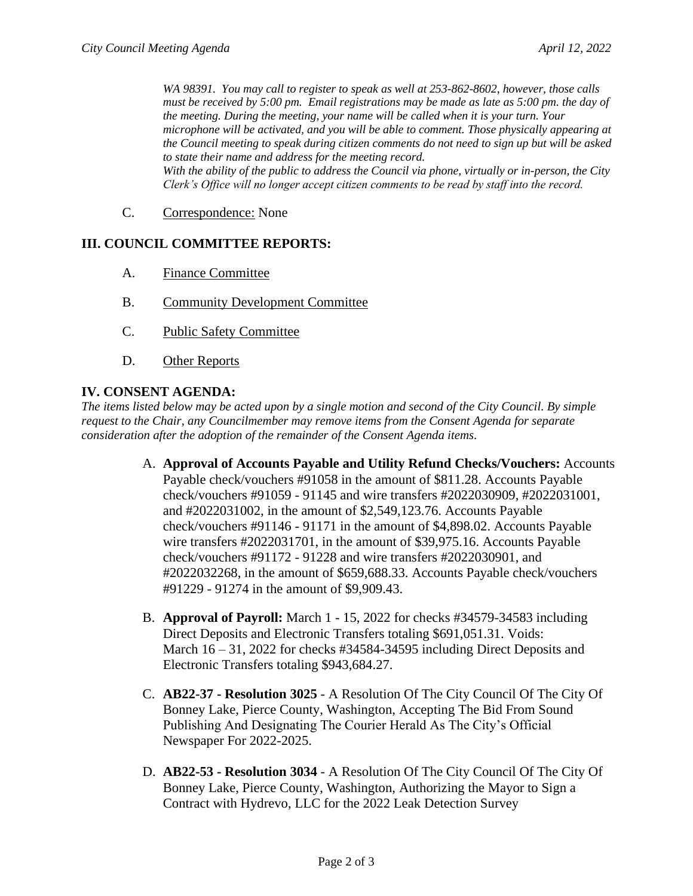*WA 98391. You may call to register to speak as well at 253-862-8602, however, those calls must be received by 5:00 pm. Email registrations may be made as late as 5:00 pm. the day of the meeting. During the meeting, your name will be called when it is your turn. Your microphone will be activated, and you will be able to comment. Those physically appearing at the Council meeting to speak during citizen comments do not need to sign up but will be asked to state their name and address for the meeting record. With the ability of the public to address the Council via phone, virtually or in-person, the City Clerk's Office will no longer accept citizen comments to be read by staff into the record.*

C. Correspondence: None

### **III. COUNCIL COMMITTEE REPORTS:**

- A. Finance Committee
- B. Community Development Committee
- C. Public Safety Committee
- D. Other Reports

#### **IV. CONSENT AGENDA:**

*The items listed below may be acted upon by a single motion and second of the City Council. By simple request to the Chair, any Councilmember may remove items from the Consent Agenda for separate consideration after the adoption of the remainder of the Consent Agenda items.*

- A. **Approval of Accounts Payable and Utility Refund Checks/Vouchers:** Accounts Payable check/vouchers #91058 in the amount of \$811.28. Accounts Payable check/vouchers #91059 - 91145 and wire transfers #2022030909, #2022031001, and #2022031002, in the amount of \$2,549,123.76. Accounts Payable check/vouchers #91146 - 91171 in the amount of \$4,898.02. Accounts Payable wire transfers #2022031701, in the amount of \$39,975.16. Accounts Payable check/vouchers #91172 - 91228 and wire transfers #2022030901, and #2022032268, in the amount of \$659,688.33. Accounts Payable check/vouchers #91229 - 91274 in the amount of \$9,909.43.
- B. **Approval of Payroll:** March 1 15, 2022 for checks #34579-34583 including Direct Deposits and Electronic Transfers totaling \$691,051.31. Voids: March 16 – 31, 2022 for checks #34584-34595 including Direct Deposits and Electronic Transfers totaling \$943,684.27.
- C. **AB22-37 - Resolution 3025** A Resolution Of The City Council Of The City Of Bonney Lake, Pierce County, Washington, Accepting The Bid From Sound Publishing And Designating The Courier Herald As The City's Official Newspaper For 2022-2025.
- D. **AB22-53 - Resolution 3034** A Resolution Of The City Council Of The City Of Bonney Lake, Pierce County, Washington, Authorizing the Mayor to Sign a Contract with Hydrevo, LLC for the 2022 Leak Detection Survey